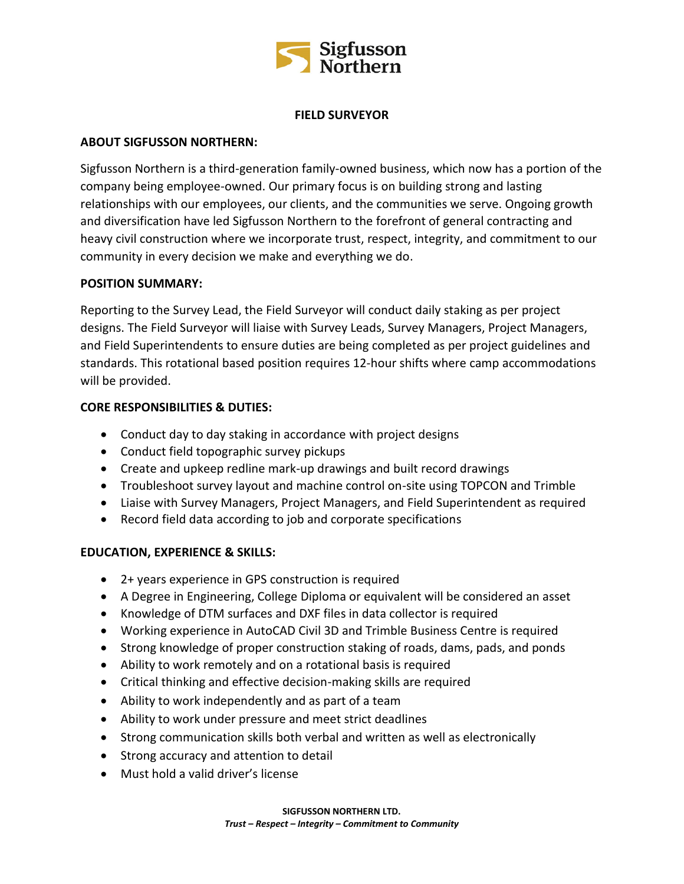

## **FIELD SURVEYOR**

## **ABOUT SIGFUSSON NORTHERN:**

Sigfusson Northern is a third-generation family-owned business, which now has a portion of the company being employee-owned. Our primary focus is on building strong and lasting relationships with our employees, our clients, and the communities we serve. Ongoing growth and diversification have led Sigfusson Northern to the forefront of general contracting and heavy civil construction where we incorporate trust, respect, integrity, and commitment to our community in every decision we make and everything we do.

#### **POSITION SUMMARY:**

Reporting to the Survey Lead, the Field Surveyor will conduct daily staking as per project designs. The Field Surveyor will liaise with Survey Leads, Survey Managers, Project Managers, and Field Superintendents to ensure duties are being completed as per project guidelines and standards. This rotational based position requires 12-hour shifts where camp accommodations will be provided.

## **CORE RESPONSIBILITIES & DUTIES:**

- Conduct day to day staking in accordance with project designs
- Conduct field topographic survey pickups
- Create and upkeep redline mark-up drawings and built record drawings
- Troubleshoot survey layout and machine control on-site using TOPCON and Trimble
- Liaise with Survey Managers, Project Managers, and Field Superintendent as required
- Record field data according to job and corporate specifications

# **EDUCATION, EXPERIENCE & SKILLS:**

- 2+ years experience in GPS construction is required
- A Degree in Engineering, College Diploma or equivalent will be considered an asset
- Knowledge of DTM surfaces and DXF files in data collector is required
- Working experience in AutoCAD Civil 3D and Trimble Business Centre is required
- Strong knowledge of proper construction staking of roads, dams, pads, and ponds
- Ability to work remotely and on a rotational basis is required
- Critical thinking and effective decision-making skills are required
- Ability to work independently and as part of a team
- Ability to work under pressure and meet strict deadlines
- Strong communication skills both verbal and written as well as electronically
- Strong accuracy and attention to detail
- Must hold a valid driver's license

**SIGFUSSON NORTHERN LTD.**

*Trust – Respect – Integrity – Commitment to Community*